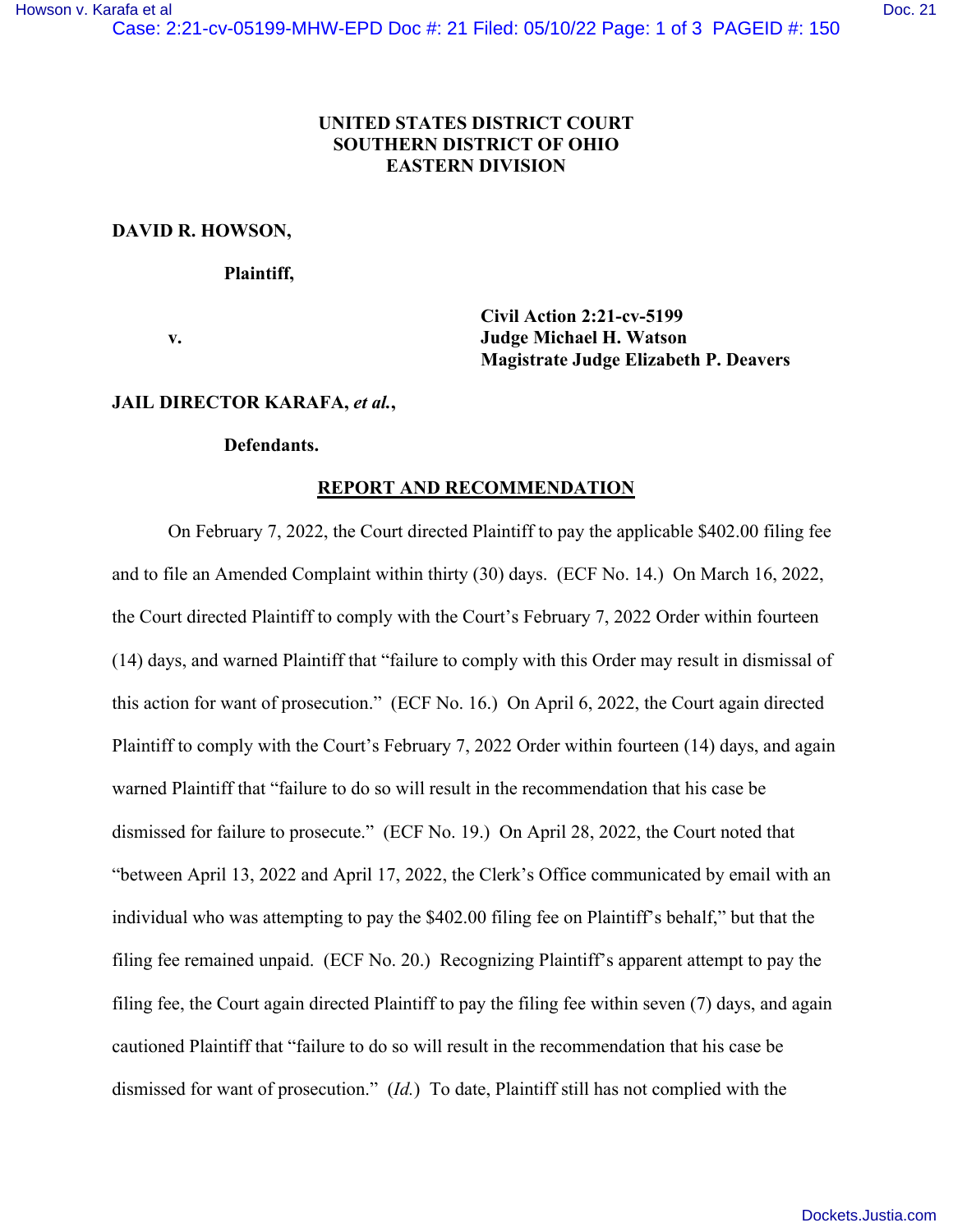# **UNITED STATES DISTRICT COURT SOUTHERN DISTRICT OF OHIO EASTERN DIVISION**

## **DAVID R. HOWSON,**

#### **Plaintiff,**

 **Civil Action 2:21-cv-5199 v. Judge Michael H. Watson Magistrate Judge Elizabeth P. Deavers** 

### **JAIL DIRECTOR KARAFA,** *et al.***,**

## **Defendants.**

## **REPORT AND RECOMMENDATION**

 On February 7, 2022, the Court directed Plaintiff to pay the applicable \$402.00 filing fee and to file an Amended Complaint within thirty (30) days. (ECF No. 14.) On March 16, 2022, the Court directed Plaintiff to comply with the Court's February 7, 2022 Order within fourteen (14) days, and warned Plaintiff that "failure to comply with this Order may result in dismissal of this action for want of prosecution." (ECF No. 16.) On April 6, 2022, the Court again directed Plaintiff to comply with the Court's February 7, 2022 Order within fourteen (14) days, and again warned Plaintiff that "failure to do so will result in the recommendation that his case be dismissed for failure to prosecute." (ECF No. 19.) On April 28, 2022, the Court noted that "between April 13, 2022 and April 17, 2022, the Clerk's Office communicated by email with an individual who was attempting to pay the \$402.00 filing fee on Plaintiff's behalf," but that the filing fee remained unpaid. (ECF No. 20.) Recognizing Plaintiff's apparent attempt to pay the filing fee, the Court again directed Plaintiff to pay the filing fee within seven (7) days, and again cautioned Plaintiff that "failure to do so will result in the recommendation that his case be dismissed for want of prosecution." (*Id.*) To date, Plaintiff still has not complied with the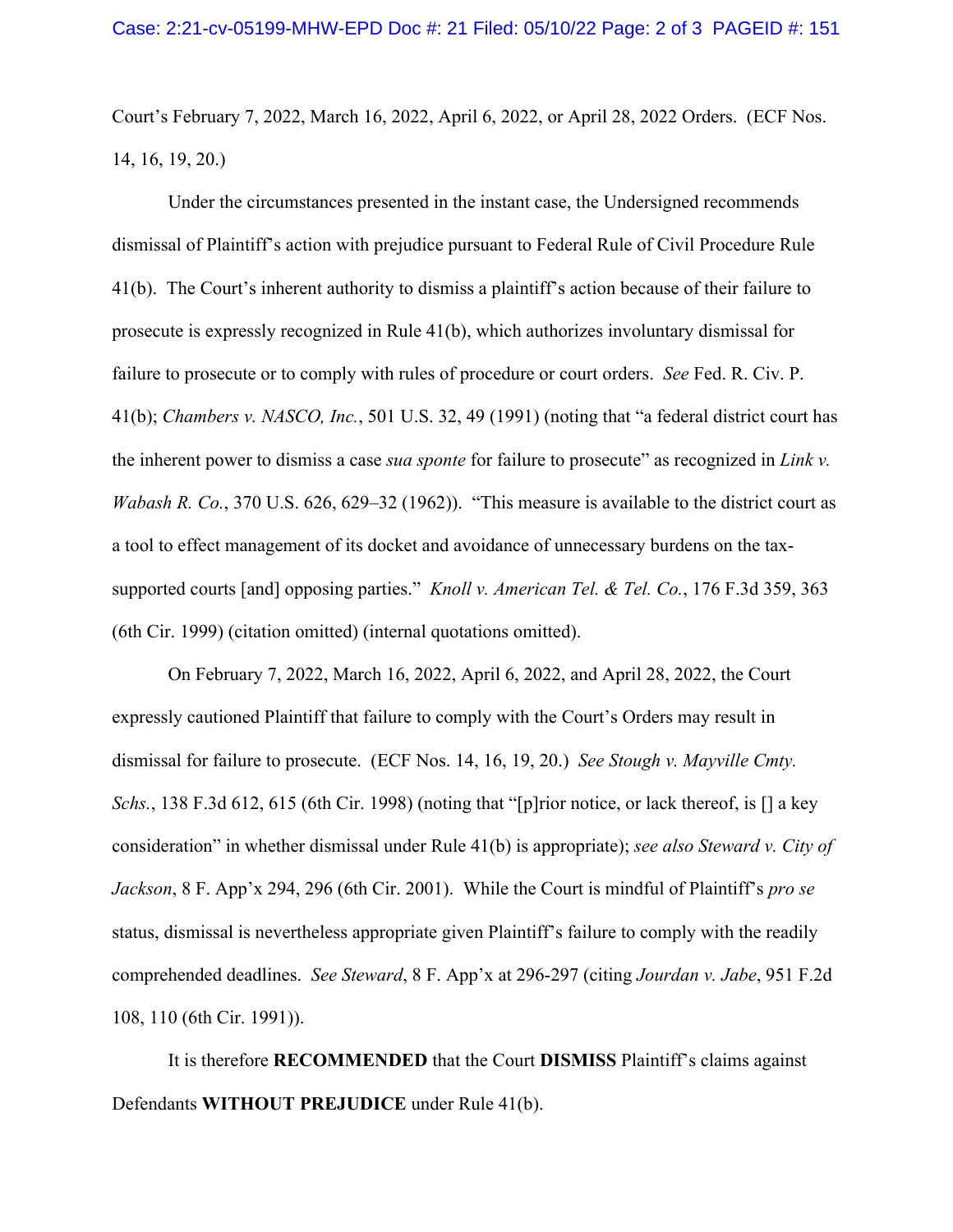Court's February 7, 2022, March 16, 2022, April 6, 2022, or April 28, 2022 Orders. (ECF Nos. 14, 16, 19, 20.)

Under the circumstances presented in the instant case, the Undersigned recommends dismissal of Plaintiff's action with prejudice pursuant to Federal Rule of Civil Procedure Rule 41(b). The Court's inherent authority to dismiss a plaintiff's action because of their failure to prosecute is expressly recognized in Rule 41(b), which authorizes involuntary dismissal for failure to prosecute or to comply with rules of procedure or court orders. *See* Fed. R. Civ. P. 41(b); *Chambers v. NASCO, Inc.*, 501 U.S. 32, 49 (1991) (noting that "a federal district court has the inherent power to dismiss a case *sua sponte* for failure to prosecute" as recognized in *Link v. Wabash R. Co.*, 370 U.S. 626, 629–32 (1962)). "This measure is available to the district court as a tool to effect management of its docket and avoidance of unnecessary burdens on the taxsupported courts [and] opposing parties." *Knoll v. American Tel. & Tel. Co.*, 176 F.3d 359, 363 (6th Cir. 1999) (citation omitted) (internal quotations omitted).

 On February 7, 2022, March 16, 2022, April 6, 2022, and April 28, 2022, the Court expressly cautioned Plaintiff that failure to comply with the Court's Orders may result in dismissal for failure to prosecute. (ECF Nos. 14, 16, 19, 20.) *See Stough v. Mayville Cmty. Schs.*, 138 F.3d 612, 615 (6th Cir. 1998) (noting that "[p]rior notice, or lack thereof, is [] a key consideration" in whether dismissal under Rule 41(b) is appropriate); *see also Steward v. City of Jackson*, 8 F. App'x 294, 296 (6th Cir. 2001). While the Court is mindful of Plaintiff's *pro se* status, dismissal is nevertheless appropriate given Plaintiff's failure to comply with the readily comprehended deadlines. *See Steward*, 8 F. App'x at 296-297 (citing *Jourdan v. Jabe*, 951 F.2d 108, 110 (6th Cir. 1991)).

 It is therefore **RECOMMENDED** that the Court **DISMISS** Plaintiff's claims against Defendants **WITHOUT PREJUDICE** under Rule 41(b).